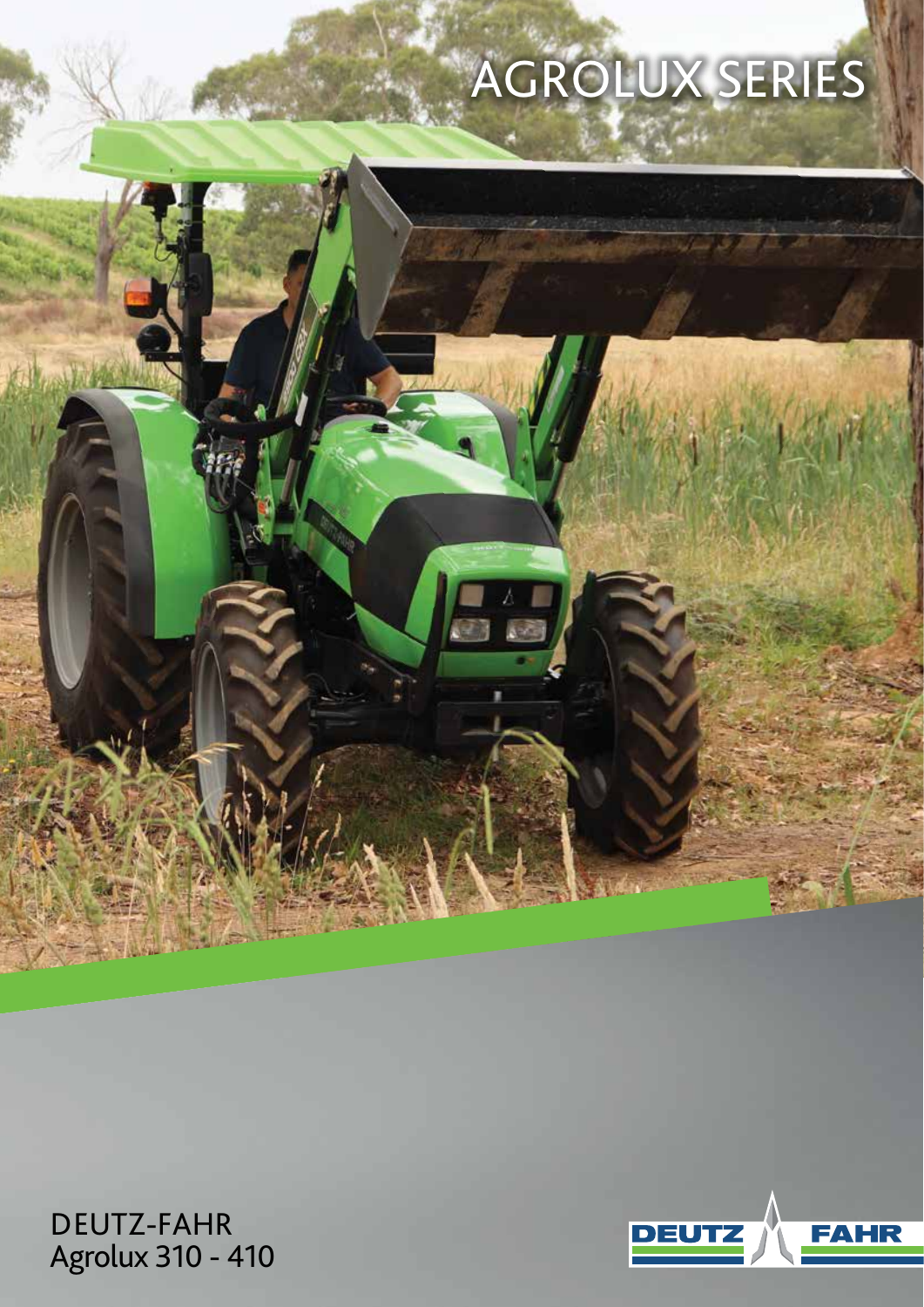# AGROLUX SERIES



DEUTZ-FAHR Agrolux 310 - 410

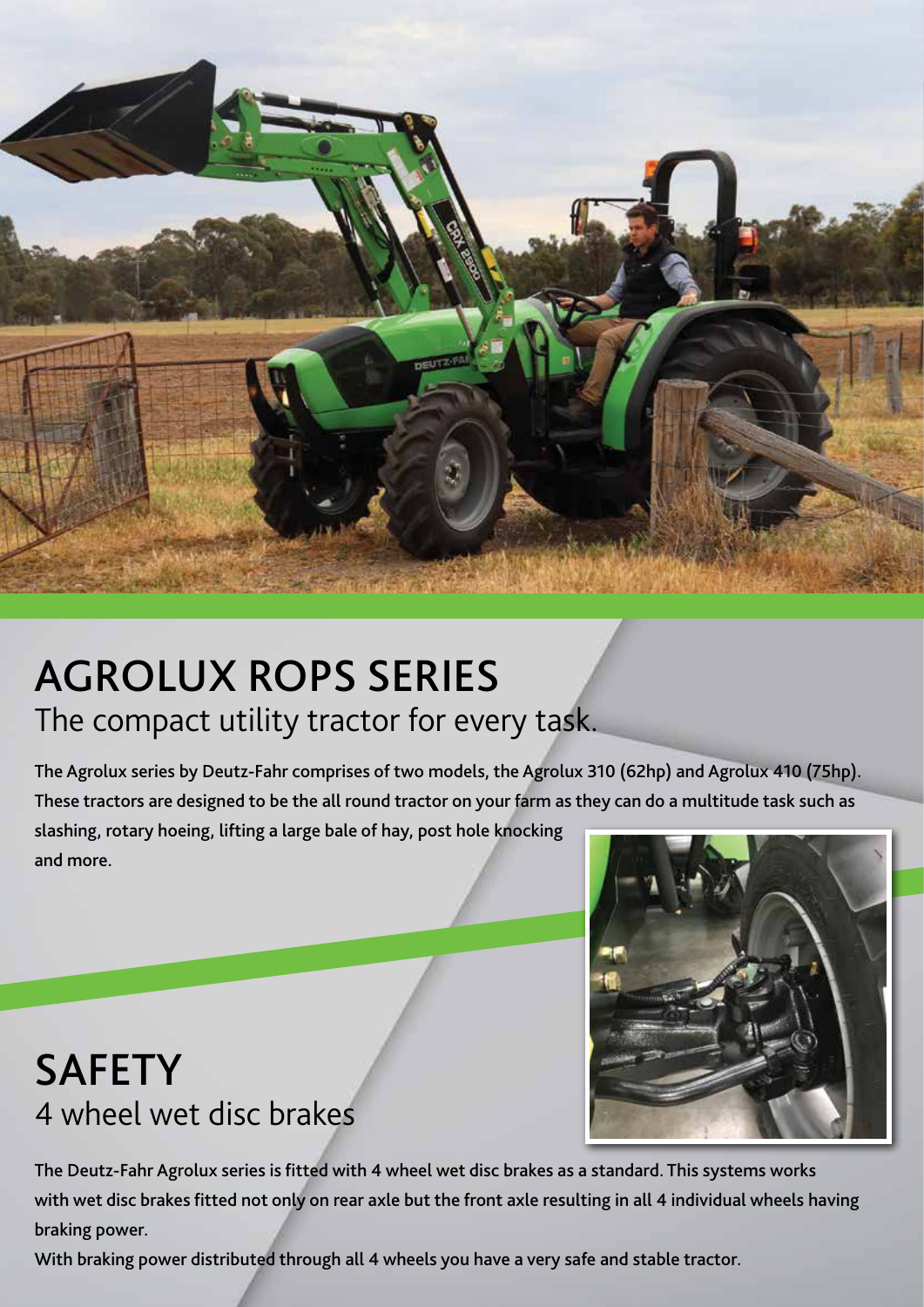

## AGROLUX ROPS SERIES The compact utility tractor for every task.

The Agrolux series by Deutz-Fahr comprises of two models, the Agrolux 310 (62hp) and Agrolux 410 (75hp). These tractors are designed to be the all round tractor on your farm as they can do a multitude task such as slashing, rotary hoeing, lifting a large bale of hay, post hole knocking and more.

### SAFETY 4 wheel wet disc brakes

The Deutz-Fahr Agrolux series is fitted with 4 wheel wet disc brakes as a standard. This systems works with wet disc brakes fitted not only on rear axle but the front axle resulting in all 4 individual wheels having braking power.

With braking power distributed through all 4 wheels you have a very safe and stable tractor.

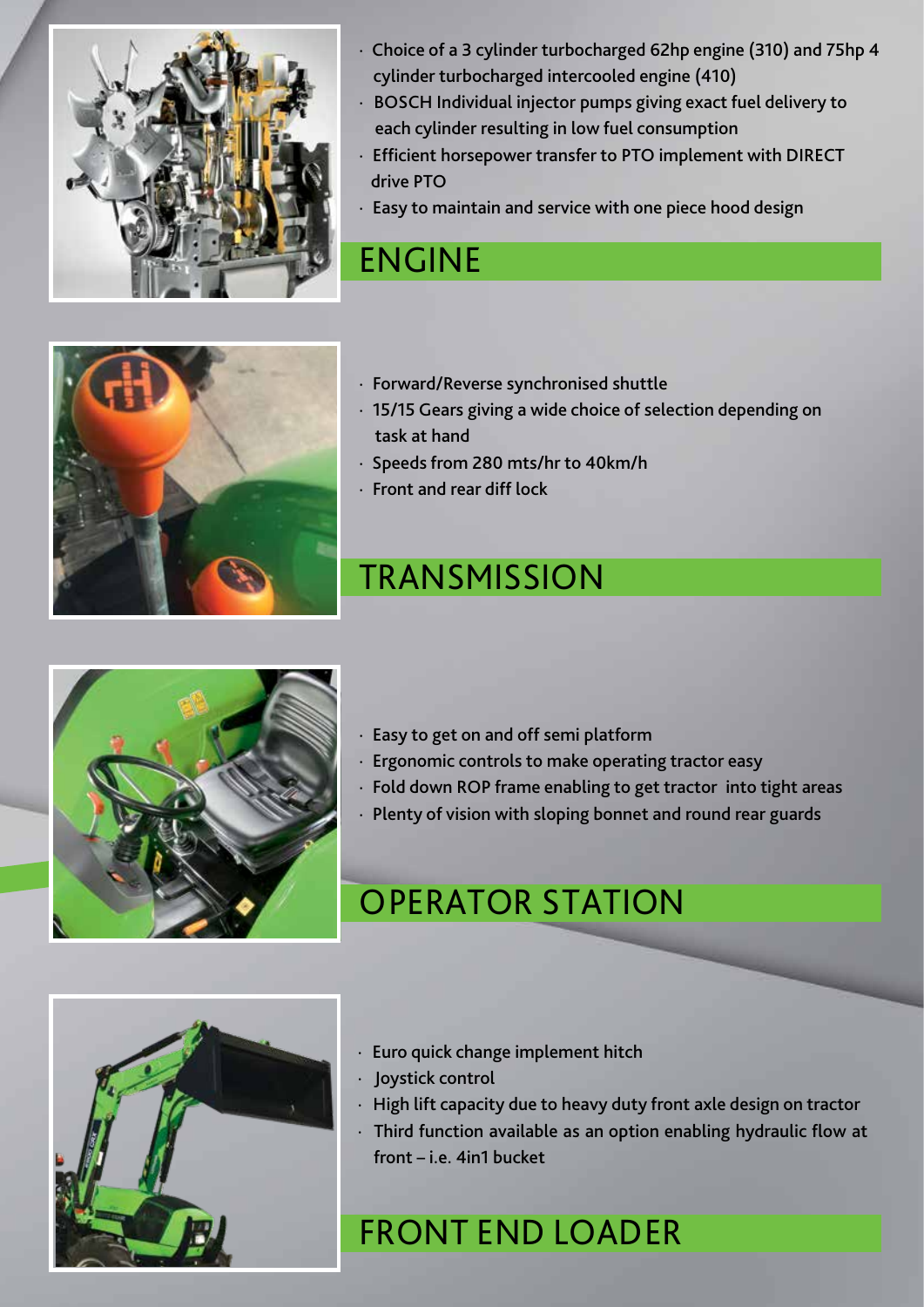

- · Choice of a 3 cylinder turbocharged 62hp engine (310) and 75hp 4 cylinder turbocharged intercooled engine (410)
- · BOSCH Individual injector pumps giving exact fuel delivery to each cylinder resulting in low fuel consumption
- · Efficient horsepower transfer to PTO implement with DIRECT drive PTO
- · Easy to maintain and service with one piece hood design

#### ENGINE

- · Forward/Reverse synchronised shuttle
- · 15/15 Gears giving a wide choice of selection depending on task at hand
- · Speeds from 280 mts/hr to 40km/h
- · Front and rear diff lock

#### **TRANSMISSION**



- · Easy to get on and off semi platform
- · Ergonomic controls to make operating tractor easy
- · Fold down ROP frame enabling to get tractor into tight areas
- · Plenty of vision with sloping bonnet and round rear guards

#### OPERATOR STATION



- · Euro quick change implement hitch
- · Joystick control
- · High lift capacity due to heavy duty front axle design on tractor
- · Third function available as an option enabling hydraulic flow at front – i.e. 4in1 bucket

#### FRONT END LOADER